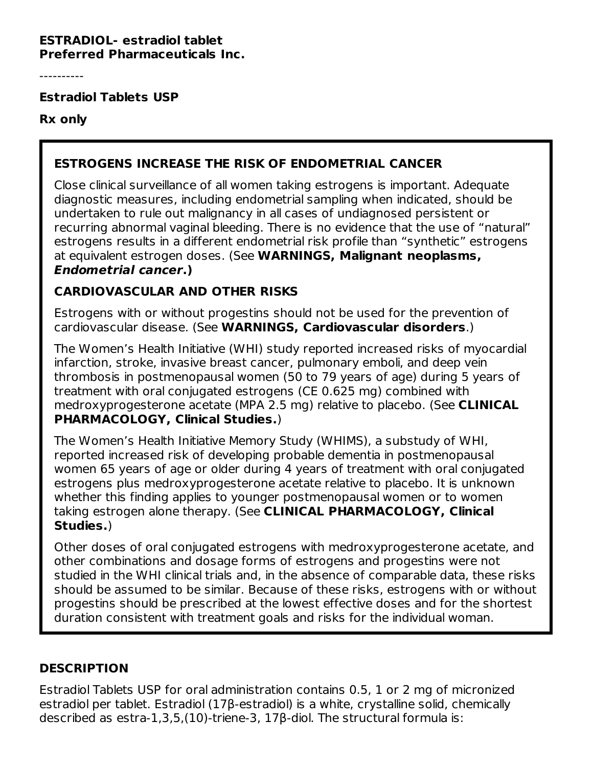#### **ESTRADIOL- estradiol tablet Preferred Pharmaceuticals Inc.**

----------

#### **Estradiol Tablets USP**

#### **Rx only**

#### **ESTROGENS INCREASE THE RISK OF ENDOMETRIAL CANCER**

Close clinical surveillance of all women taking estrogens is important. Adequate diagnostic measures, including endometrial sampling when indicated, should be undertaken to rule out malignancy in all cases of undiagnosed persistent or recurring abnormal vaginal bleeding. There is no evidence that the use of "natural" estrogens results in a different endometrial risk profile than "synthetic" estrogens at equivalent estrogen doses. (See **WARNINGS, Malignant neoplasms, Endometrial cancer.)**

#### **CARDIOVASCULAR AND OTHER RISKS**

Estrogens with or without progestins should not be used for the prevention of cardiovascular disease. (See **WARNINGS, Cardiovascular disorders**.)

The Women's Health Initiative (WHI) study reported increased risks of myocardial infarction, stroke, invasive breast cancer, pulmonary emboli, and deep vein thrombosis in postmenopausal women (50 to 79 years of age) during 5 years of treatment with oral conjugated estrogens (CE 0.625 mg) combined with medroxyprogesterone acetate (MPA 2.5 mg) relative to placebo. (See **CLINICAL PHARMACOLOGY, Clinical Studies.**)

The Women's Health Initiative Memory Study (WHIMS), a substudy of WHI, reported increased risk of developing probable dementia in postmenopausal women 65 years of age or older during 4 years of treatment with oral conjugated estrogens plus medroxyprogesterone acetate relative to placebo. It is unknown whether this finding applies to younger postmenopausal women or to women taking estrogen alone therapy. (See **CLINICAL PHARMACOLOGY, Clinical Studies.**)

Other doses of oral conjugated estrogens with medroxyprogesterone acetate, and other combinations and dosage forms of estrogens and progestins were not studied in the WHI clinical trials and, in the absence of comparable data, these risks should be assumed to be similar. Because of these risks, estrogens with or without progestins should be prescribed at the lowest effective doses and for the shortest duration consistent with treatment goals and risks for the individual woman.

#### **DESCRIPTION**

Estradiol Tablets USP for oral administration contains 0.5, 1 or 2 mg of micronized estradiol per tablet. Estradiol (17β-estradiol) is a white, crystalline solid, chemically described as estra-1,3,5,(10)-triene-3, 17β-diol. The structural formula is: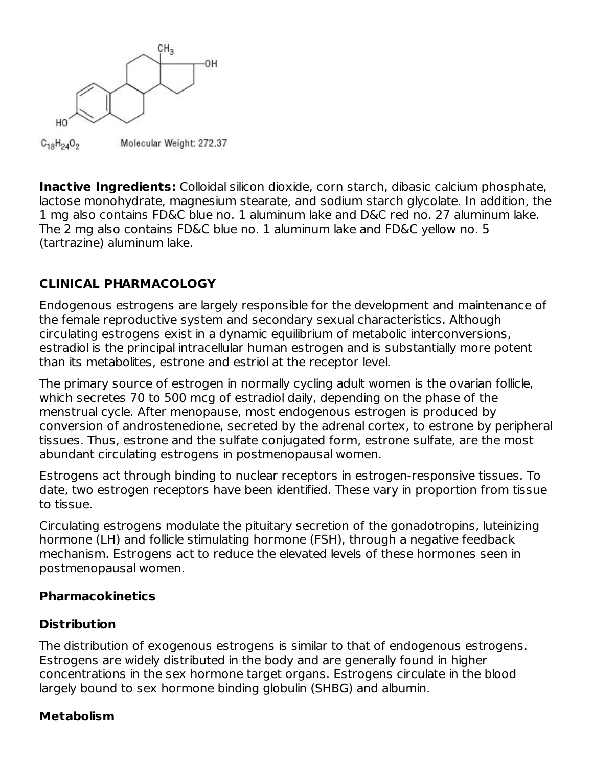

 $C_{18}H_{24}O_2$ Molecular Weight: 272.37

**Inactive Ingredients:** Colloidal silicon dioxide, corn starch, dibasic calcium phosphate, lactose monohydrate, magnesium stearate, and sodium starch glycolate. In addition, the 1 mg also contains FD&C blue no. 1 aluminum lake and D&C red no. 27 aluminum lake. The 2 mg also contains FD&C blue no. 1 aluminum lake and FD&C yellow no. 5 (tartrazine) aluminum lake.

## **CLINICAL PHARMACOLOGY**

Endogenous estrogens are largely responsible for the development and maintenance of the female reproductive system and secondary sexual characteristics. Although circulating estrogens exist in a dynamic equilibrium of metabolic interconversions, estradiol is the principal intracellular human estrogen and is substantially more potent than its metabolites, estrone and estriol at the receptor level.

The primary source of estrogen in normally cycling adult women is the ovarian follicle, which secretes 70 to 500 mcg of estradiol daily, depending on the phase of the menstrual cycle. After menopause, most endogenous estrogen is produced by conversion of androstenedione, secreted by the adrenal cortex, to estrone by peripheral tissues. Thus, estrone and the sulfate conjugated form, estrone sulfate, are the most abundant circulating estrogens in postmenopausal women.

Estrogens act through binding to nuclear receptors in estrogen-responsive tissues. To date, two estrogen receptors have been identified. These vary in proportion from tissue to tissue.

Circulating estrogens modulate the pituitary secretion of the gonadotropins, luteinizing hormone (LH) and follicle stimulating hormone (FSH), through a negative feedback mechanism. Estrogens act to reduce the elevated levels of these hormones seen in postmenopausal women.

#### **Pharmacokinetics**

#### **Distribution**

The distribution of exogenous estrogens is similar to that of endogenous estrogens. Estrogens are widely distributed in the body and are generally found in higher concentrations in the sex hormone target organs. Estrogens circulate in the blood largely bound to sex hormone binding globulin (SHBG) and albumin.

#### **Metabolism**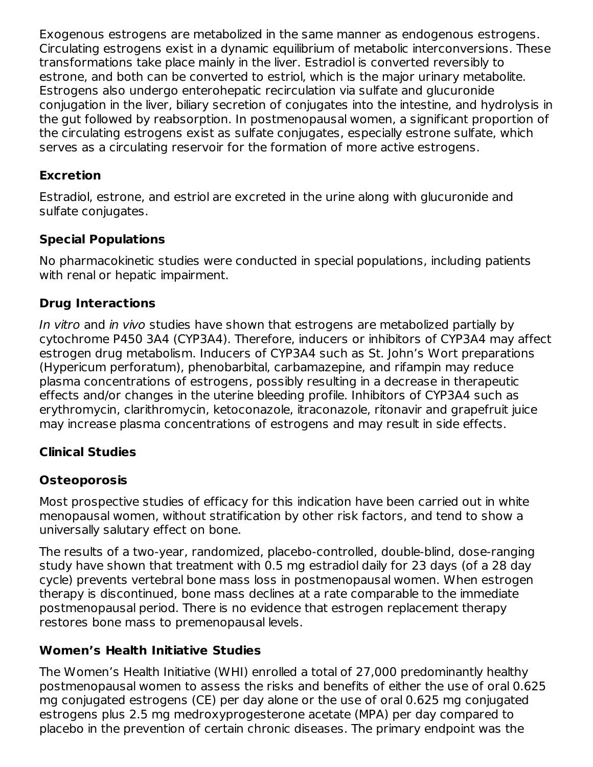Exogenous estrogens are metabolized in the same manner as endogenous estrogens. Circulating estrogens exist in a dynamic equilibrium of metabolic interconversions. These transformations take place mainly in the liver. Estradiol is converted reversibly to estrone, and both can be converted to estriol, which is the major urinary metabolite. Estrogens also undergo enterohepatic recirculation via sulfate and glucuronide conjugation in the liver, biliary secretion of conjugates into the intestine, and hydrolysis in the gut followed by reabsorption. In postmenopausal women, a significant proportion of the circulating estrogens exist as sulfate conjugates, especially estrone sulfate, which serves as a circulating reservoir for the formation of more active estrogens.

#### **Excretion**

Estradiol, estrone, and estriol are excreted in the urine along with glucuronide and sulfate conjugates.

## **Special Populations**

No pharmacokinetic studies were conducted in special populations, including patients with renal or hepatic impairment.

#### **Drug Interactions**

In vitro and in vivo studies have shown that estrogens are metabolized partially by cytochrome P450 3A4 (CYP3A4). Therefore, inducers or inhibitors of CYP3A4 may affect estrogen drug metabolism. Inducers of CYP3A4 such as St. John's Wort preparations (Hypericum perforatum), phenobarbital, carbamazepine, and rifampin may reduce plasma concentrations of estrogens, possibly resulting in a decrease in therapeutic effects and/or changes in the uterine bleeding profile. Inhibitors of CYP3A4 such as erythromycin, clarithromycin, ketoconazole, itraconazole, ritonavir and grapefruit juice may increase plasma concentrations of estrogens and may result in side effects.

## **Clinical Studies**

## **Osteoporosis**

Most prospective studies of efficacy for this indication have been carried out in white menopausal women, without stratification by other risk factors, and tend to show a universally salutary effect on bone.

The results of a two-year, randomized, placebo-controlled, double-blind, dose-ranging study have shown that treatment with 0.5 mg estradiol daily for 23 days (of a 28 day cycle) prevents vertebral bone mass loss in postmenopausal women. When estrogen therapy is discontinued, bone mass declines at a rate comparable to the immediate postmenopausal period. There is no evidence that estrogen replacement therapy restores bone mass to premenopausal levels.

#### **Women's Health Initiative Studies**

The Women's Health Initiative (WHI) enrolled a total of 27,000 predominantly healthy postmenopausal women to assess the risks and benefits of either the use of oral 0.625 mg conjugated estrogens (CE) per day alone or the use of oral 0.625 mg conjugated estrogens plus 2.5 mg medroxyprogesterone acetate (MPA) per day compared to placebo in the prevention of certain chronic diseases. The primary endpoint was the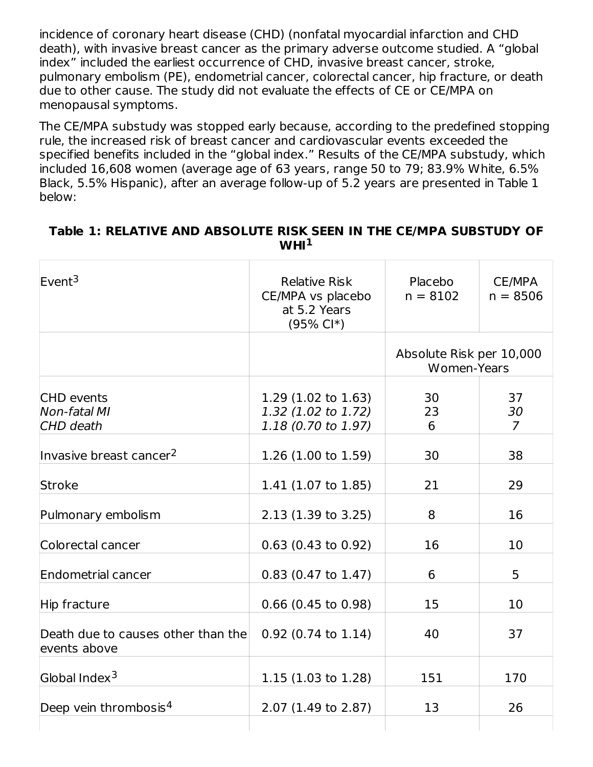incidence of coronary heart disease (CHD) (nonfatal myocardial infarction and CHD death), with invasive breast cancer as the primary adverse outcome studied. A "global index" included the earliest occurrence of CHD, invasive breast cancer, stroke, pulmonary embolism (PE), endometrial cancer, colorectal cancer, hip fracture, or death due to other cause. The study did not evaluate the effects of CE or CE/MPA on menopausal symptoms.

The CE/MPA substudy was stopped early because, according to the predefined stopping rule, the increased risk of breast cancer and cardiovascular events exceeded the specified benefits included in the "global index." Results of the CE/MPA substudy, which included 16,608 women (average age of 63 years, range 50 to 79; 83.9% White, 6.5% Black, 5.5% Hispanic), after an average follow-up of 5.2 years are presented in Table 1 below:

| Event <sup>3</sup>                                 | <b>Relative Risk</b><br>CE/MPA vs placebo<br>at 5.2 Years<br>(95% Cl*) | Placebo<br>$n = 8102$                          | CE/MPA<br>$n = 8506$       |
|----------------------------------------------------|------------------------------------------------------------------------|------------------------------------------------|----------------------------|
|                                                    |                                                                        | Absolute Risk per 10,000<br><b>Women-Years</b> |                            |
| <b>CHD</b> events<br>Non-fatal MI<br>CHD death     | $1.29$ (1.02 to 1.63)<br>1.32 (1.02 to 1.72)<br>1.18 (0.70 to 1.97)    | 30<br>23<br>6                                  | 37<br>30<br>$\overline{7}$ |
| Invasive breast cancer <sup>2</sup>                | 1.26 $(1.00 \text{ to } 1.59)$                                         | 30                                             | 38                         |
| Stroke                                             | $1.41$ (1.07 to 1.85)                                                  | 21                                             | 29                         |
| Pulmonary embolism                                 | 2.13 (1.39 to 3.25)                                                    | 8                                              | 16                         |
| Colorectal cancer                                  | $0.63$ (0.43 to 0.92)                                                  | 16                                             | 10                         |
| Endometrial cancer                                 | $0.83$ (0.47 to 1.47)                                                  | 6                                              | 5                          |
| Hip fracture                                       | $0.66$ (0.45 to 0.98)                                                  | 15                                             | 10                         |
| Death due to causes other than the<br>events above | $0.92$ (0.74 to 1.14)                                                  | 40                                             | 37                         |
| Global Index <sup>3</sup>                          | 1.15 $(1.03 \text{ to } 1.28)$                                         | 151                                            | 170                        |
| Deep vein thrombosis <sup>4</sup>                  | 2.07 (1.49 to 2.87)                                                    | 13                                             | 26                         |
|                                                    |                                                                        |                                                |                            |

#### **Table 1: RELATIVE AND ABSOLUTE RISK SEEN IN THE CE/MPA SUBSTUDY OF**  $WHI<sup>1</sup>$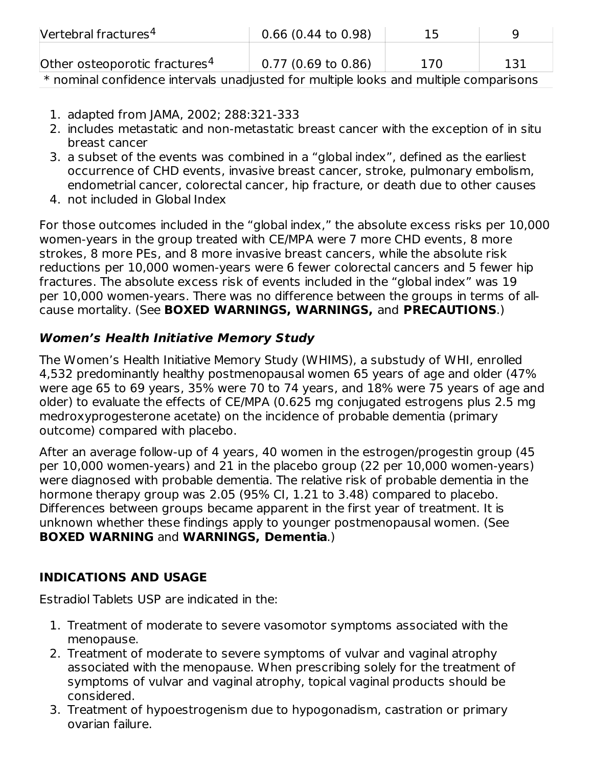| Vertebral fractures <sup>4</sup>                                                      | $0.66$ (0.44 to 0.98)         | 15  | Q   |  |
|---------------------------------------------------------------------------------------|-------------------------------|-----|-----|--|
| Other osteoporotic fractures <sup>4</sup>                                             | $0.77(0.69 \text{ to } 0.86)$ | 170 | 131 |  |
| * nominal confidence intervals unadjusted for multiple looks and multiple comparisons |                               |     |     |  |

- 1. adapted from JAMA, 2002; 288:321-333
- 2. includes metastatic and non-metastatic breast cancer with the exception of in situ breast cancer
- 3. a subset of the events was combined in a "global index", defined as the earliest occurrence of CHD events, invasive breast cancer, stroke, pulmonary embolism, endometrial cancer, colorectal cancer, hip fracture, or death due to other causes
- 4. not included in Global Index

For those outcomes included in the "global index," the absolute excess risks per 10,000 women-years in the group treated with CE/MPA were 7 more CHD events, 8 more strokes, 8 more PEs, and 8 more invasive breast cancers, while the absolute risk reductions per 10,000 women-years were 6 fewer colorectal cancers and 5 fewer hip fractures. The absolute excess risk of events included in the "global index" was 19 per 10,000 women-years. There was no difference between the groups in terms of allcause mortality. (See **BOXED WARNINGS, WARNINGS,** and **PRECAUTIONS**.)

#### **Women's Health Initiative Memory Study**

The Women's Health Initiative Memory Study (WHIMS), a substudy of WHI, enrolled 4,532 predominantly healthy postmenopausal women 65 years of age and older (47% were age 65 to 69 years, 35% were 70 to 74 years, and 18% were 75 years of age and older) to evaluate the effects of CE/MPA (0.625 mg conjugated estrogens plus 2.5 mg medroxyprogesterone acetate) on the incidence of probable dementia (primary outcome) compared with placebo.

After an average follow-up of 4 years, 40 women in the estrogen/progestin group (45 per 10,000 women-years) and 21 in the placebo group (22 per 10,000 women-years) were diagnosed with probable dementia. The relative risk of probable dementia in the hormone therapy group was 2.05 (95% CI, 1.21 to 3.48) compared to placebo. Differences between groups became apparent in the first year of treatment. It is unknown whether these findings apply to younger postmenopausal women. (See **BOXED WARNING** and **WARNINGS, Dementia**.)

## **INDICATIONS AND USAGE**

Estradiol Tablets USP are indicated in the:

- 1. Treatment of moderate to severe vasomotor symptoms associated with the menopause.
- 2. Treatment of moderate to severe symptoms of vulvar and vaginal atrophy associated with the menopause. When prescribing solely for the treatment of symptoms of vulvar and vaginal atrophy, topical vaginal products should be considered.
- 3. Treatment of hypoestrogenism due to hypogonadism, castration or primary ovarian failure.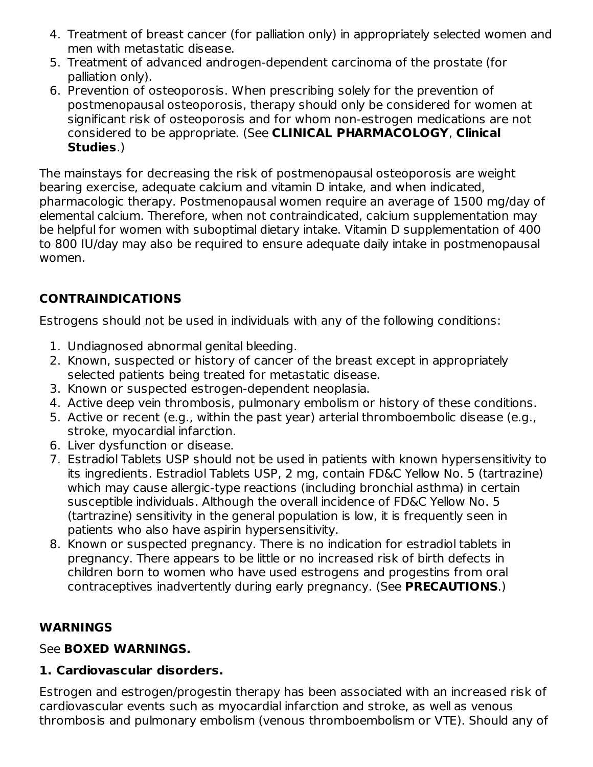- 4. Treatment of breast cancer (for palliation only) in appropriately selected women and men with metastatic disease.
- 5. Treatment of advanced androgen-dependent carcinoma of the prostate (for palliation only).
- 6. Prevention of osteoporosis. When prescribing solely for the prevention of postmenopausal osteoporosis, therapy should only be considered for women at significant risk of osteoporosis and for whom non-estrogen medications are not considered to be appropriate. (See **CLINICAL PHARMACOLOGY**, **Clinical Studies**.)

The mainstays for decreasing the risk of postmenopausal osteoporosis are weight bearing exercise, adequate calcium and vitamin D intake, and when indicated, pharmacologic therapy. Postmenopausal women require an average of 1500 mg/day of elemental calcium. Therefore, when not contraindicated, calcium supplementation may be helpful for women with suboptimal dietary intake. Vitamin D supplementation of 400 to 800 IU/day may also be required to ensure adequate daily intake in postmenopausal women.

## **CONTRAINDICATIONS**

Estrogens should not be used in individuals with any of the following conditions:

- 1. Undiagnosed abnormal genital bleeding.
- 2. Known, suspected or history of cancer of the breast except in appropriately selected patients being treated for metastatic disease.
- 3. Known or suspected estrogen-dependent neoplasia.
- 4. Active deep vein thrombosis, pulmonary embolism or history of these conditions.
- 5. Active or recent (e.g., within the past year) arterial thromboembolic disease (e.g., stroke, myocardial infarction.
- 6. Liver dysfunction or disease.
- 7. Estradiol Tablets USP should not be used in patients with known hypersensitivity to its ingredients. Estradiol Tablets USP, 2 mg, contain FD&C Yellow No. 5 (tartrazine) which may cause allergic-type reactions (including bronchial asthma) in certain susceptible individuals. Although the overall incidence of FD&C Yellow No. 5 (tartrazine) sensitivity in the general population is low, it is frequently seen in patients who also have aspirin hypersensitivity.
- 8. Known or suspected pregnancy. There is no indication for estradiol tablets in pregnancy. There appears to be little or no increased risk of birth defects in children born to women who have used estrogens and progestins from oral contraceptives inadvertently during early pregnancy. (See **PRECAUTIONS**.)

#### **WARNINGS**

## See **BOXED WARNINGS.**

# **1. Cardiovascular disorders.**

Estrogen and estrogen/progestin therapy has been associated with an increased risk of cardiovascular events such as myocardial infarction and stroke, as well as venous thrombosis and pulmonary embolism (venous thromboembolism or VTE). Should any of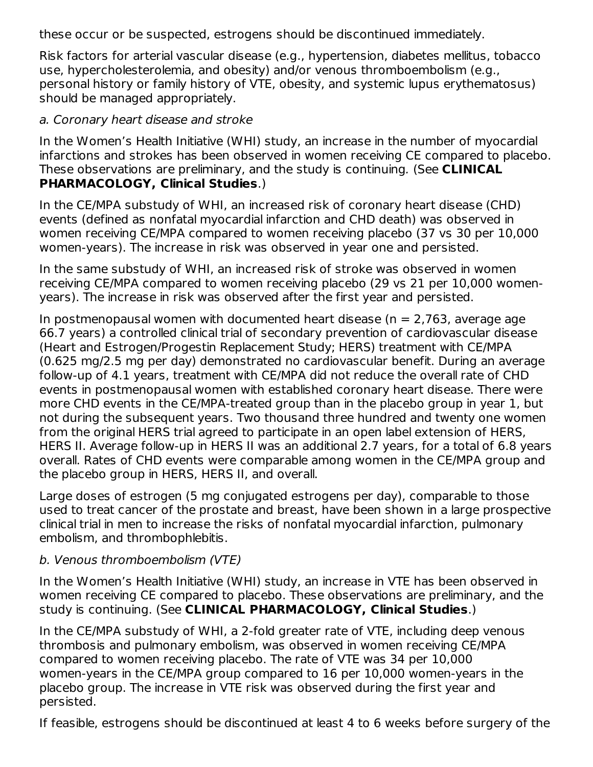these occur or be suspected, estrogens should be discontinued immediately.

Risk factors for arterial vascular disease (e.g., hypertension, diabetes mellitus, tobacco use, hypercholesterolemia, and obesity) and/or venous thromboembolism (e.g., personal history or family history of VTE, obesity, and systemic lupus erythematosus) should be managed appropriately.

#### a. Coronary heart disease and stroke

In the Women's Health Initiative (WHI) study, an increase in the number of myocardial infarctions and strokes has been observed in women receiving CE compared to placebo. These observations are preliminary, and the study is continuing. (See **CLINICAL PHARMACOLOGY, Clinical Studies**.)

In the CE/MPA substudy of WHI, an increased risk of coronary heart disease (CHD) events (defined as nonfatal myocardial infarction and CHD death) was observed in women receiving CE/MPA compared to women receiving placebo (37 vs 30 per 10,000 women-years). The increase in risk was observed in year one and persisted.

In the same substudy of WHI, an increased risk of stroke was observed in women receiving CE/MPA compared to women receiving placebo (29 vs 21 per 10,000 womenyears). The increase in risk was observed after the first year and persisted.

In postmenopausal women with documented heart disease ( $n = 2,763$ , average age 66.7 years) a controlled clinical trial of secondary prevention of cardiovascular disease (Heart and Estrogen/Progestin Replacement Study; HERS) treatment with CE/MPA (0.625 mg/2.5 mg per day) demonstrated no cardiovascular benefit. During an average follow-up of 4.1 years, treatment with CE/MPA did not reduce the overall rate of CHD events in postmenopausal women with established coronary heart disease. There were more CHD events in the CE/MPA-treated group than in the placebo group in year 1, but not during the subsequent years. Two thousand three hundred and twenty one women from the original HERS trial agreed to participate in an open label extension of HERS, HERS II. Average follow-up in HERS II was an additional 2.7 years, for a total of 6.8 years overall. Rates of CHD events were comparable among women in the CE/MPA group and the placebo group in HERS, HERS II, and overall.

Large doses of estrogen (5 mg conjugated estrogens per day), comparable to those used to treat cancer of the prostate and breast, have been shown in a large prospective clinical trial in men to increase the risks of nonfatal myocardial infarction, pulmonary embolism, and thrombophlebitis.

#### b. Venous thromboembolism (VTE)

In the Women's Health Initiative (WHI) study, an increase in VTE has been observed in women receiving CE compared to placebo. These observations are preliminary, and the study is continuing. (See **CLINICAL PHARMACOLOGY, Clinical Studies**.)

In the CE/MPA substudy of WHI, a 2‑fold greater rate of VTE, including deep venous thrombosis and pulmonary embolism, was observed in women receiving CE/MPA compared to women receiving placebo. The rate of VTE was 34 per 10,000 women-years in the CE/MPA group compared to 16 per 10,000 women-years in the placebo group. The increase in VTE risk was observed during the first year and persisted.

If feasible, estrogens should be discontinued at least 4 to 6 weeks before surgery of the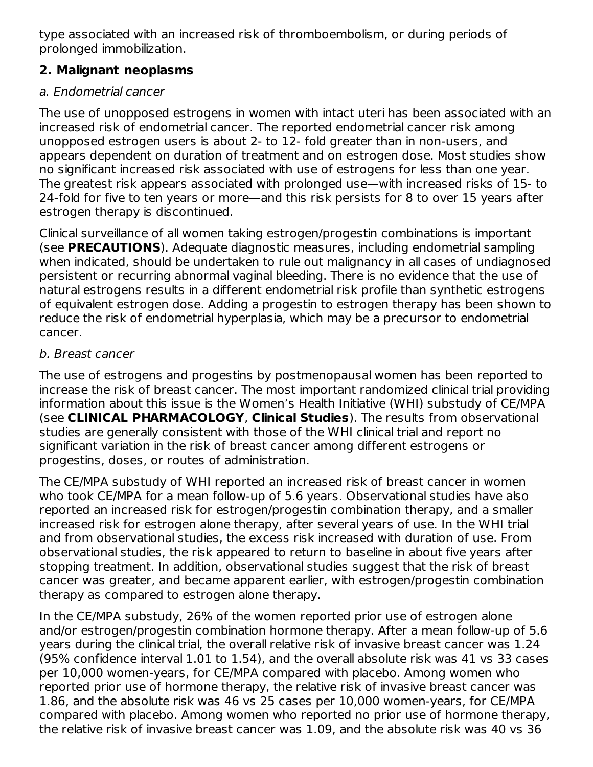type associated with an increased risk of thromboembolism, or during periods of prolonged immobilization.

#### **2. Malignant neoplasms**

#### a. Endometrial cancer

The use of unopposed estrogens in women with intact uteri has been associated with an increased risk of endometrial cancer. The reported endometrial cancer risk among unopposed estrogen users is about 2- to 12- fold greater than in non-users, and appears dependent on duration of treatment and on estrogen dose. Most studies show no significant increased risk associated with use of estrogens for less than one year. The greatest risk appears associated with prolonged use—with increased risks of 15- to 24-fold for five to ten years or more—and this risk persists for 8 to over 15 years after estrogen therapy is discontinued.

Clinical surveillance of all women taking estrogen/progestin combinations is important (see **PRECAUTIONS**). Adequate diagnostic measures, including endometrial sampling when indicated, should be undertaken to rule out malignancy in all cases of undiagnosed persistent or recurring abnormal vaginal bleeding. There is no evidence that the use of natural estrogens results in a different endometrial risk profile than synthetic estrogens of equivalent estrogen dose. Adding a progestin to estrogen therapy has been shown to reduce the risk of endometrial hyperplasia, which may be a precursor to endometrial cancer.

#### b. Breast cancer

The use of estrogens and progestins by postmenopausal women has been reported to increase the risk of breast cancer. The most important randomized clinical trial providing information about this issue is the Women's Health Initiative (WHI) substudy of CE/MPA (see **CLINICAL PHARMACOLOGY**, **Clinical Studies**). The results from observational studies are generally consistent with those of the WHI clinical trial and report no significant variation in the risk of breast cancer among different estrogens or progestins, doses, or routes of administration.

The CE/MPA substudy of WHI reported an increased risk of breast cancer in women who took CE/MPA for a mean follow-up of 5.6 years. Observational studies have also reported an increased risk for estrogen/progestin combination therapy, and a smaller increased risk for estrogen alone therapy, after several years of use. In the WHI trial and from observational studies, the excess risk increased with duration of use. From observational studies, the risk appeared to return to baseline in about five years after stopping treatment. In addition, observational studies suggest that the risk of breast cancer was greater, and became apparent earlier, with estrogen/progestin combination therapy as compared to estrogen alone therapy.

In the CE/MPA substudy, 26% of the women reported prior use of estrogen alone and/or estrogen/progestin combination hormone therapy. After a mean follow-up of 5.6 years during the clinical trial, the overall relative risk of invasive breast cancer was 1.24 (95% confidence interval 1.01 to 1.54), and the overall absolute risk was 41 vs 33 cases per 10,000 women-years, for CE/MPA compared with placebo. Among women who reported prior use of hormone therapy, the relative risk of invasive breast cancer was 1.86, and the absolute risk was 46 vs 25 cases per 10,000 women-years, for CE/MPA compared with placebo. Among women who reported no prior use of hormone therapy, the relative risk of invasive breast cancer was 1.09, and the absolute risk was 40 vs 36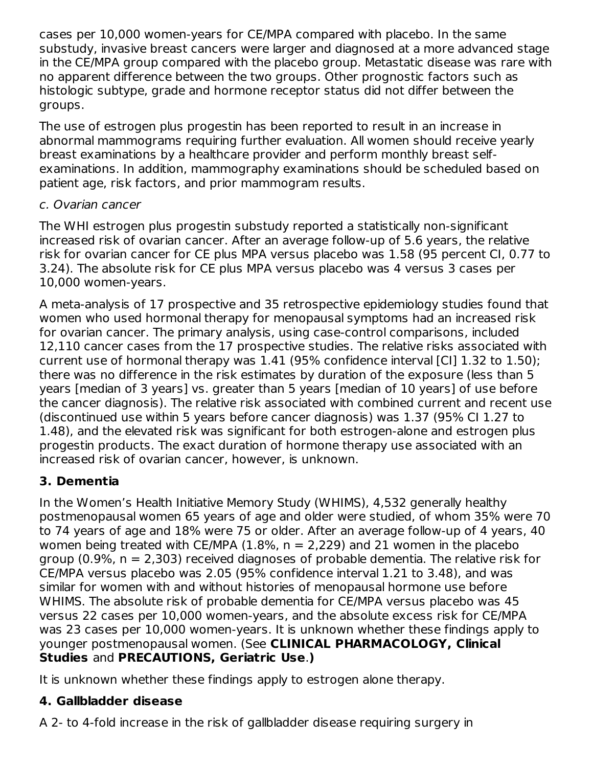cases per 10,000 women-years for CE/MPA compared with placebo. In the same substudy, invasive breast cancers were larger and diagnosed at a more advanced stage in the CE/MPA group compared with the placebo group. Metastatic disease was rare with no apparent difference between the two groups. Other prognostic factors such as histologic subtype, grade and hormone receptor status did not differ between the groups.

The use of estrogen plus progestin has been reported to result in an increase in abnormal mammograms requiring further evaluation. All women should receive yearly breast examinations by a healthcare provider and perform monthly breast selfexaminations. In addition, mammography examinations should be scheduled based on patient age, risk factors, and prior mammogram results.

#### c. Ovarian cancer

The WHI estrogen plus progestin substudy reported a statistically non-significant increased risk of ovarian cancer. After an average follow-up of 5.6 years, the relative risk for ovarian cancer for CE plus MPA versus placebo was 1.58 (95 percent CI, 0.77 to 3.24). The absolute risk for CE plus MPA versus placebo was 4 versus 3 cases per 10,000 women-years.

A meta-analysis of 17 prospective and 35 retrospective epidemiology studies found that women who used hormonal therapy for menopausal symptoms had an increased risk for ovarian cancer. The primary analysis, using case-control comparisons, included 12,110 cancer cases from the 17 prospective studies. The relative risks associated with current use of hormonal therapy was 1.41 (95% confidence interval [CI] 1.32 to 1.50); there was no difference in the risk estimates by duration of the exposure (less than 5 years [median of 3 years] vs. greater than 5 years [median of 10 years] of use before the cancer diagnosis). The relative risk associated with combined current and recent use (discontinued use within 5 years before cancer diagnosis) was 1.37 (95% CI 1.27 to 1.48), and the elevated risk was significant for both estrogen-alone and estrogen plus progestin products. The exact duration of hormone therapy use associated with an increased risk of ovarian cancer, however, is unknown.

# **3. Dementia**

In the Women's Health Initiative Memory Study (WHIMS), 4,532 generally healthy postmenopausal women 65 years of age and older were studied, of whom 35% were 70 to 74 years of age and 18% were 75 or older. After an average follow-up of 4 years, 40 women being treated with CE/MPA  $(1.8\% , n = 2.229)$  and 21 women in the placebo group (0.9%,  $n = 2,303$ ) received diagnoses of probable dementia. The relative risk for CE/MPA versus placebo was 2.05 (95% confidence interval 1.21 to 3.48), and was similar for women with and without histories of menopausal hormone use before WHIMS. The absolute risk of probable dementia for CE/MPA versus placebo was 45 versus 22 cases per 10,000 women-years, and the absolute excess risk for CE/MPA was 23 cases per 10,000 women-years. It is unknown whether these findings apply to younger postmenopausal women. (See **CLINICAL PHARMACOLOGY, Clinical Studies** and **PRECAUTIONS, Geriatric Use**.**)**

It is unknown whether these findings apply to estrogen alone therapy.

# **4. Gallbladder disease**

A 2- to 4-fold increase in the risk of gallbladder disease requiring surgery in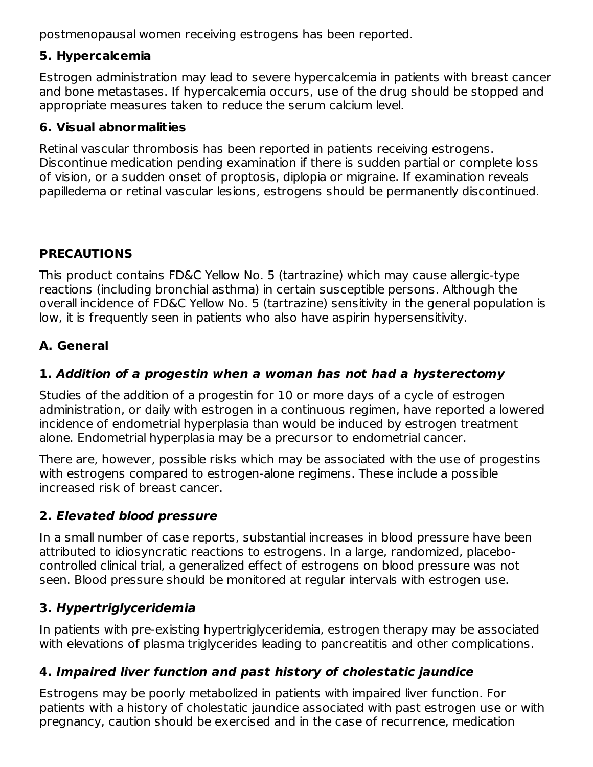postmenopausal women receiving estrogens has been reported.

#### **5. Hypercalcemia**

Estrogen administration may lead to severe hypercalcemia in patients with breast cancer and bone metastases. If hypercalcemia occurs, use of the drug should be stopped and appropriate measures taken to reduce the serum calcium level.

## **6. Visual abnormalities**

Retinal vascular thrombosis has been reported in patients receiving estrogens. Discontinue medication pending examination if there is sudden partial or complete loss of vision, or a sudden onset of proptosis, diplopia or migraine. If examination reveals papilledema or retinal vascular lesions, estrogens should be permanently discontinued.

# **PRECAUTIONS**

This product contains FD&C Yellow No. 5 (tartrazine) which may cause allergic-type reactions (including bronchial asthma) in certain susceptible persons. Although the overall incidence of FD&C Yellow No. 5 (tartrazine) sensitivity in the general population is low, it is frequently seen in patients who also have aspirin hypersensitivity.

# **A. General**

# **1. Addition of a progestin when a woman has not had a hysterectomy**

Studies of the addition of a progestin for 10 or more days of a cycle of estrogen administration, or daily with estrogen in a continuous regimen, have reported a lowered incidence of endometrial hyperplasia than would be induced by estrogen treatment alone. Endometrial hyperplasia may be a precursor to endometrial cancer.

There are, however, possible risks which may be associated with the use of progestins with estrogens compared to estrogen-alone regimens. These include a possible increased risk of breast cancer.

# **2. Elevated blood pressure**

In a small number of case reports, substantial increases in blood pressure have been attributed to idiosyncratic reactions to estrogens. In a large, randomized, placebocontrolled clinical trial, a generalized effect of estrogens on blood pressure was not seen. Blood pressure should be monitored at regular intervals with estrogen use.

# **3. Hypertriglyceridemia**

In patients with pre-existing hypertriglyceridemia, estrogen therapy may be associated with elevations of plasma triglycerides leading to pancreatitis and other complications.

# **4. Impaired liver function and past history of cholestatic jaundice**

Estrogens may be poorly metabolized in patients with impaired liver function. For patients with a history of cholestatic jaundice associated with past estrogen use or with pregnancy, caution should be exercised and in the case of recurrence, medication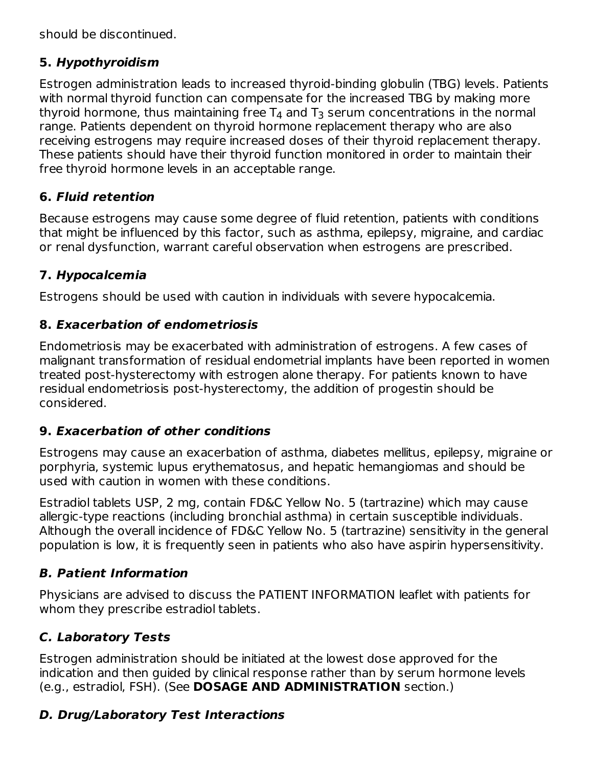should be discontinued.

#### **5. Hypothyroidism**

Estrogen administration leads to increased thyroid-binding globulin (TBG) levels. Patients with normal thyroid function can compensate for the increased TBG by making more thyroid hormone, thus maintaining free T $_4$  and T $_3$  serum concentrations in the normal range. Patients dependent on thyroid hormone replacement therapy who are also receiving estrogens may require increased doses of their thyroid replacement therapy. These patients should have their thyroid function monitored in order to maintain their free thyroid hormone levels in an acceptable range.

#### **6. Fluid retention**

Because estrogens may cause some degree of fluid retention, patients with conditions that might be influenced by this factor, such as asthma, epilepsy, migraine, and cardiac or renal dysfunction, warrant careful observation when estrogens are prescribed.

## **7. Hypocalcemia**

Estrogens should be used with caution in individuals with severe hypocalcemia.

#### **8. Exacerbation of endometriosis**

Endometriosis may be exacerbated with administration of estrogens. A few cases of malignant transformation of residual endometrial implants have been reported in women treated post-hysterectomy with estrogen alone therapy. For patients known to have residual endometriosis post-hysterectomy, the addition of progestin should be considered.

#### **9. Exacerbation of other conditions**

Estrogens may cause an exacerbation of asthma, diabetes mellitus, epilepsy, migraine or porphyria, systemic lupus erythematosus, and hepatic hemangiomas and should be used with caution in women with these conditions.

Estradiol tablets USP, 2 mg, contain FD&C Yellow No. 5 (tartrazine) which may cause allergic-type reactions (including bronchial asthma) in certain susceptible individuals. Although the overall incidence of FD&C Yellow No. 5 (tartrazine) sensitivity in the general population is low, it is frequently seen in patients who also have aspirin hypersensitivity.

## **B. Patient Information**

Physicians are advised to discuss the PATIENT INFORMATION leaflet with patients for whom they prescribe estradiol tablets.

# **C. Laboratory Tests**

Estrogen administration should be initiated at the lowest dose approved for the indication and then guided by clinical response rather than by serum hormone levels (e.g., estradiol, FSH). (See **DOSAGE AND ADMINISTRATION** section.)

# **D. Drug/Laboratory Test Interactions**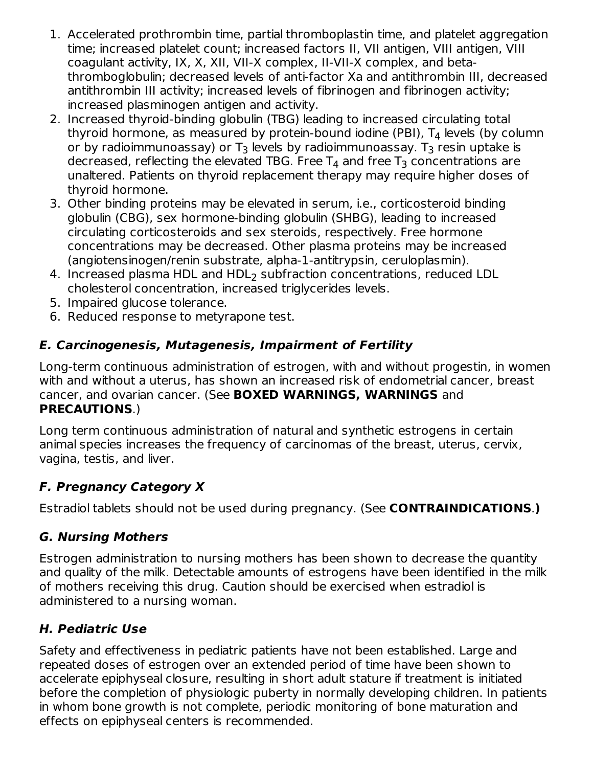- 1. Accelerated prothrombin time, partial thromboplastin time, and platelet aggregation time; increased platelet count; increased factors II, VII antigen, VIII antigen, VIII coagulant activity, IX, X, XII, VII-X complex, II-VII-X complex, and betathromboglobulin; decreased levels of anti-factor Xa and antithrombin III, decreased antithrombin III activity; increased levels of fibrinogen and fibrinogen activity; increased plasminogen antigen and activity.
- 2. Increased thyroid-binding globulin (TBG) leading to increased circulating total thyroid hormone, as measured by protein-bound iodine (PBI),  ${\sf T}_4$  levels (by column or by radioimmunoassay) or T $_3$  levels by radioimmunoassay. T $_3$  resin uptake is decreased, reflecting the elevated TBG. Free T<sub>4</sub> and free T<sub>3</sub> concentrations are unaltered. Patients on thyroid replacement therapy may require higher doses of thyroid hormone.
- 3. Other binding proteins may be elevated in serum, i.e., corticosteroid binding globulin (CBG), sex hormone-binding globulin (SHBG), leading to increased circulating corticosteroids and sex steroids, respectively. Free hormone concentrations may be decreased. Other plasma proteins may be increased (angiotensinogen/renin substrate, alpha-1-antitrypsin, ceruloplasmin).
- 4. Increased plasma HDL and  $HDL<sub>2</sub>$  subfraction concentrations, reduced LDL cholesterol concentration, increased triglycerides levels.
- 5. Impaired glucose tolerance.
- 6. Reduced response to metyrapone test.

## **E. Carcinogenesis, Mutagenesis, Impairment of Fertility**

Long-term continuous administration of estrogen, with and without progestin, in women with and without a uterus, has shown an increased risk of endometrial cancer, breast cancer, and ovarian cancer. (See **BOXED WARNINGS, WARNINGS** and **PRECAUTIONS**.)

Long term continuous administration of natural and synthetic estrogens in certain animal species increases the frequency of carcinomas of the breast, uterus, cervix, vagina, testis, and liver.

## **F. Pregnancy Category X**

Estradiol tablets should not be used during pregnancy. (See **CONTRAINDICATIONS**.**)**

## **G. Nursing Mothers**

Estrogen administration to nursing mothers has been shown to decrease the quantity and quality of the milk. Detectable amounts of estrogens have been identified in the milk of mothers receiving this drug. Caution should be exercised when estradiol is administered to a nursing woman.

## **H. Pediatric Use**

Safety and effectiveness in pediatric patients have not been established. Large and repeated doses of estrogen over an extended period of time have been shown to accelerate epiphyseal closure, resulting in short adult stature if treatment is initiated before the completion of physiologic puberty in normally developing children. In patients in whom bone growth is not complete, periodic monitoring of bone maturation and effects on epiphyseal centers is recommended.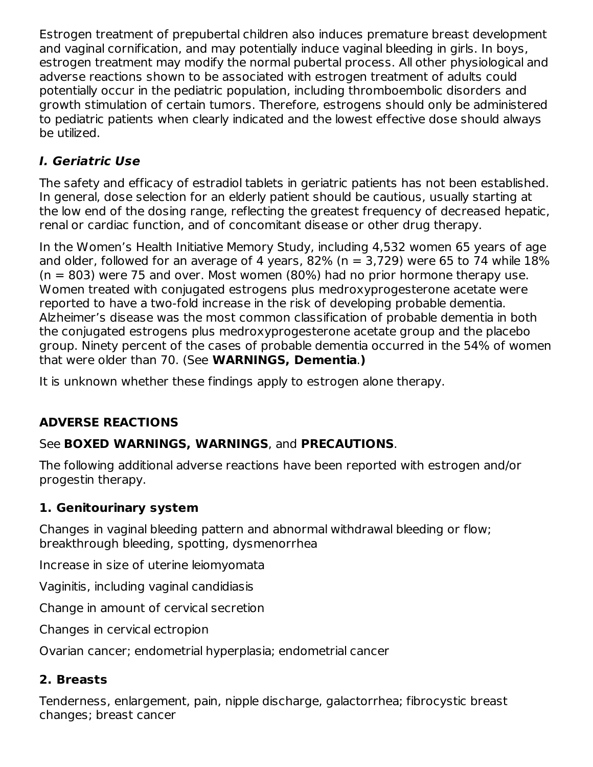Estrogen treatment of prepubertal children also induces premature breast development and vaginal cornification, and may potentially induce vaginal bleeding in girls. In boys, estrogen treatment may modify the normal pubertal process. All other physiological and adverse reactions shown to be associated with estrogen treatment of adults could potentially occur in the pediatric population, including thromboembolic disorders and growth stimulation of certain tumors. Therefore, estrogens should only be administered to pediatric patients when clearly indicated and the lowest effective dose should always be utilized.

# **I. Geriatric Use**

The safety and efficacy of estradiol tablets in geriatric patients has not been established. In general, dose selection for an elderly patient should be cautious, usually starting at the low end of the dosing range, reflecting the greatest frequency of decreased hepatic, renal or cardiac function, and of concomitant disease or other drug therapy.

In the Women's Health Initiative Memory Study, including 4,532 women 65 years of age and older, followed for an average of 4 years,  $82\%$  (n = 3,729) were 65 to 74 while 18%  $(n = 803)$  were 75 and over. Most women (80%) had no prior hormone therapy use. Women treated with conjugated estrogens plus medroxyprogesterone acetate were reported to have a two-fold increase in the risk of developing probable dementia. Alzheimer's disease was the most common classification of probable dementia in both the conjugated estrogens plus medroxyprogesterone acetate group and the placebo group. Ninety percent of the cases of probable dementia occurred in the 54% of women that were older than 70. (See **WARNINGS, Dementia**.**)**

It is unknown whether these findings apply to estrogen alone therapy.

# **ADVERSE REACTIONS**

# See **BOXED WARNINGS, WARNINGS**, and **PRECAUTIONS**.

The following additional adverse reactions have been reported with estrogen and/or progestin therapy.

# **1. Genitourinary system**

Changes in vaginal bleeding pattern and abnormal withdrawal bleeding or flow; breakthrough bleeding, spotting, dysmenorrhea

Increase in size of uterine leiomyomata

Vaginitis, including vaginal candidiasis

Change in amount of cervical secretion

Changes in cervical ectropion

Ovarian cancer; endometrial hyperplasia; endometrial cancer

# **2. Breasts**

Tenderness, enlargement, pain, nipple discharge, galactorrhea; fibrocystic breast changes; breast cancer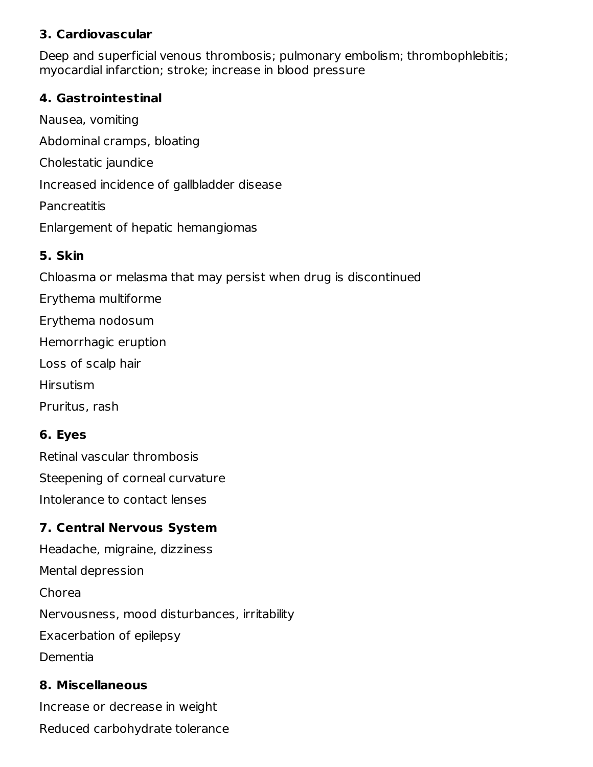#### **3. Cardiovascular**

Deep and superficial venous thrombosis; pulmonary embolism; thrombophlebitis; myocardial infarction; stroke; increase in blood pressure

#### **4. Gastrointestinal**

Nausea, vomiting Abdominal cramps, bloating Cholestatic jaundice Increased incidence of gallbladder disease **Pancreatitis** Enlargement of hepatic hemangiomas

#### **5. Skin**

Chloasma or melasma that may persist when drug is discontinued Erythema multiforme Erythema nodosum Hemorrhagic eruption Loss of scalp hair **Hirsutism** Pruritus, rash

#### **6. Eyes**

Retinal vascular thrombosis Steepening of corneal curvature Intolerance to contact lenses

#### **7. Central Nervous System**

Headache, migraine, dizziness Mental depression Chorea Nervousness, mood disturbances, irritability Exacerbation of epilepsy Dementia

#### **8. Miscellaneous**

Increase or decrease in weight Reduced carbohydrate tolerance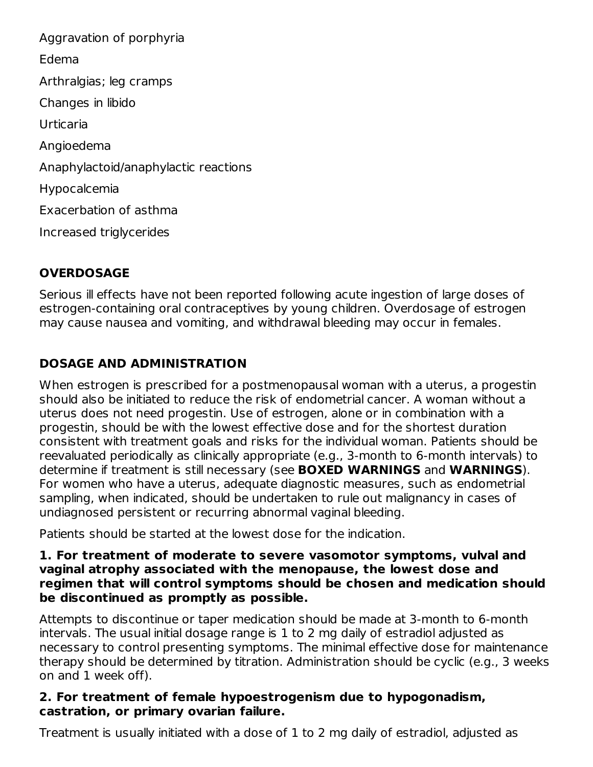Aggravation of porphyria Edema Arthralgias; leg cramps Changes in libido Urticaria Angioedema Anaphylactoid/anaphylactic reactions Hypocalcemia Exacerbation of asthma Increased triglycerides

#### **OVERDOSAGE**

Serious ill effects have not been reported following acute ingestion of large doses of estrogen-containing oral contraceptives by young children. Overdosage of estrogen may cause nausea and vomiting, and withdrawal bleeding may occur in females.

#### **DOSAGE AND ADMINISTRATION**

When estrogen is prescribed for a postmenopausal woman with a uterus, a progestin should also be initiated to reduce the risk of endometrial cancer. A woman without a uterus does not need progestin. Use of estrogen, alone or in combination with a progestin, should be with the lowest effective dose and for the shortest duration consistent with treatment goals and risks for the individual woman. Patients should be reevaluated periodically as clinically appropriate (e.g., 3-month to 6-month intervals) to determine if treatment is still necessary (see **BOXED WARNINGS** and **WARNINGS**). For women who have a uterus, adequate diagnostic measures, such as endometrial sampling, when indicated, should be undertaken to rule out malignancy in cases of undiagnosed persistent or recurring abnormal vaginal bleeding.

Patients should be started at the lowest dose for the indication.

#### **1. For treatment of moderate to severe vasomotor symptoms, vulval and vaginal atrophy associated with the menopause, the lowest dose and regimen that will control symptoms should be chosen and medication should be discontinued as promptly as possible.**

Attempts to discontinue or taper medication should be made at 3-month to 6-month intervals. The usual initial dosage range is 1 to 2 mg daily of estradiol adjusted as necessary to control presenting symptoms. The minimal effective dose for maintenance therapy should be determined by titration. Administration should be cyclic (e.g., 3 weeks on and 1 week off).

#### **2. For treatment of female hypoestrogenism due to hypogonadism, castration, or primary ovarian failure.**

Treatment is usually initiated with a dose of 1 to 2 mg daily of estradiol, adjusted as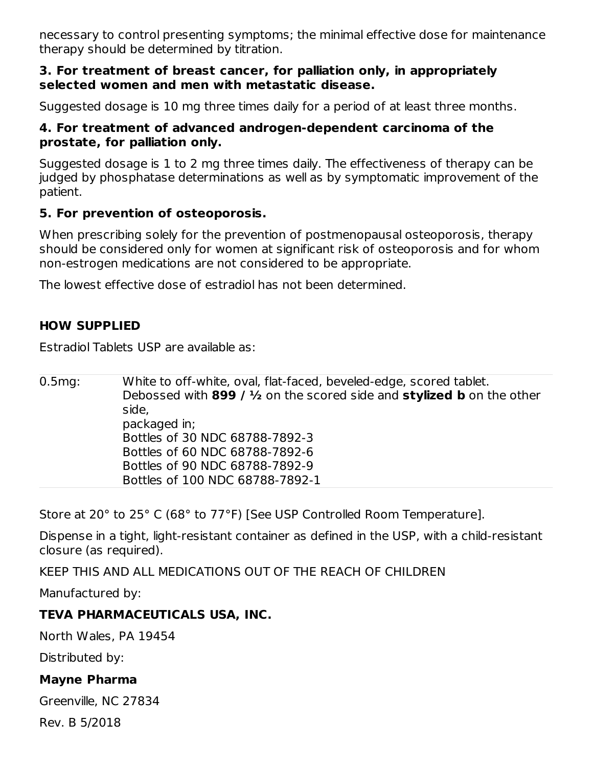necessary to control presenting symptoms; the minimal effective dose for maintenance therapy should be determined by titration.

#### **3. For treatment of breast cancer, for palliation only, in appropriately selected women and men with metastatic disease.**

Suggested dosage is 10 mg three times daily for a period of at least three months.

#### **4. For treatment of advanced androgen-dependent carcinoma of the prostate, for palliation only.**

Suggested dosage is 1 to 2 mg three times daily. The effectiveness of therapy can be judged by phosphatase determinations as well as by symptomatic improvement of the patient.

#### **5. For prevention of osteoporosis.**

When prescribing solely for the prevention of postmenopausal osteoporosis, therapy should be considered only for women at significant risk of osteoporosis and for whom non-estrogen medications are not considered to be appropriate.

The lowest effective dose of estradiol has not been determined.

#### **HOW SUPPLIED**

Estradiol Tablets USP are available as:

| 0.5 <sub>mg</sub> | White to off-white, oval, flat-faced, beveled-edge, scored tablet.                      |
|-------------------|-----------------------------------------------------------------------------------------|
|                   | Debossed with 899 / $\frac{1}{2}$ on the scored side and stylized <b>b</b> on the other |
|                   | side,                                                                                   |
|                   | packaged in;                                                                            |
|                   | Bottles of 30 NDC 68788-7892-3                                                          |
|                   | Bottles of 60 NDC 68788-7892-6                                                          |
|                   | Bottles of 90 NDC 68788-7892-9                                                          |
|                   | Bottles of 100 NDC 68788-7892-1                                                         |

Store at 20° to 25° C (68° to 77°F) [See USP Controlled Room Temperature].

Dispense in a tight, light-resistant container as defined in the USP, with a child-resistant closure (as required).

KEEP THIS AND ALL MEDICATIONS OUT OF THE REACH OF CHILDREN

Manufactured by:

#### **TEVA PHARMACEUTICALS USA, INC.**

North Wales, PA 19454

Distributed by:

#### **Mayne Pharma**

Greenville, NC 27834

Rev. B 5/2018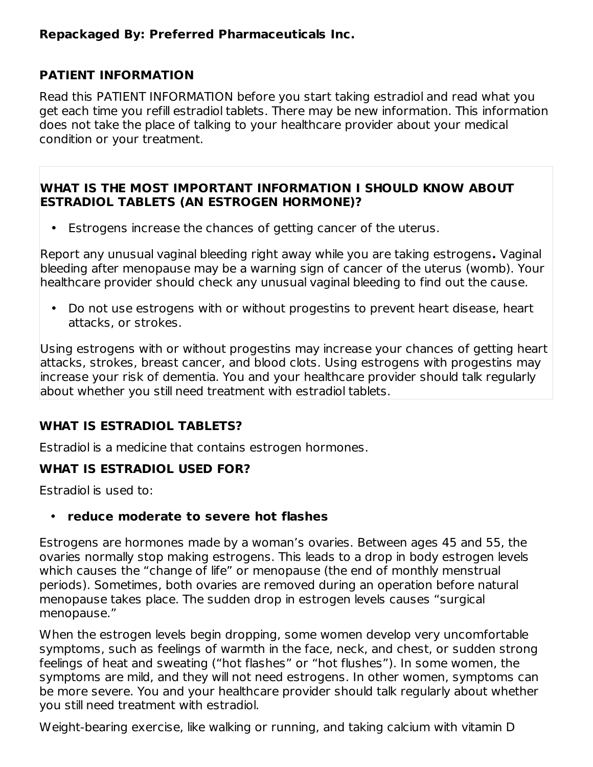#### **Repackaged By: Preferred Pharmaceuticals Inc.**

#### **PATIENT INFORMATION**

Read this PATIENT INFORMATION before you start taking estradiol and read what you get each time you refill estradiol tablets. There may be new information. This information does not take the place of talking to your healthcare provider about your medical condition or your treatment.

#### **WHAT IS THE MOST IMPORTANT INFORMATION I SHOULD KNOW ABOUT ESTRADIOL TABLETS (AN ESTROGEN HORMONE)?**

• Estrogens increase the chances of getting cancer of the uterus.

Report any unusual vaginal bleeding right away while you are taking estrogens**.** Vaginal bleeding after menopause may be a warning sign of cancer of the uterus (womb). Your healthcare provider should check any unusual vaginal bleeding to find out the cause.

• Do not use estrogens with or without progestins to prevent heart disease, heart attacks, or strokes.

Using estrogens with or without progestins may increase your chances of getting heart attacks, strokes, breast cancer, and blood clots. Using estrogens with progestins may increase your risk of dementia. You and your healthcare provider should talk regularly about whether you still need treatment with estradiol tablets.

#### **WHAT IS ESTRADIOL TABLETS?**

Estradiol is a medicine that contains estrogen hormones.

#### **WHAT IS ESTRADIOL USED FOR?**

Estradiol is used to:

#### • **reduce moderate to severe hot flashes**

Estrogens are hormones made by a woman's ovaries. Between ages 45 and 55, the ovaries normally stop making estrogens. This leads to a drop in body estrogen levels which causes the "change of life" or menopause (the end of monthly menstrual periods). Sometimes, both ovaries are removed during an operation before natural menopause takes place. The sudden drop in estrogen levels causes "surgical menopause."

When the estrogen levels begin dropping, some women develop very uncomfortable symptoms, such as feelings of warmth in the face, neck, and chest, or sudden strong feelings of heat and sweating ("hot flashes" or "hot flushes"). In some women, the symptoms are mild, and they will not need estrogens. In other women, symptoms can be more severe. You and your healthcare provider should talk regularly about whether you still need treatment with estradiol.

Weight-bearing exercise, like walking or running, and taking calcium with vitamin D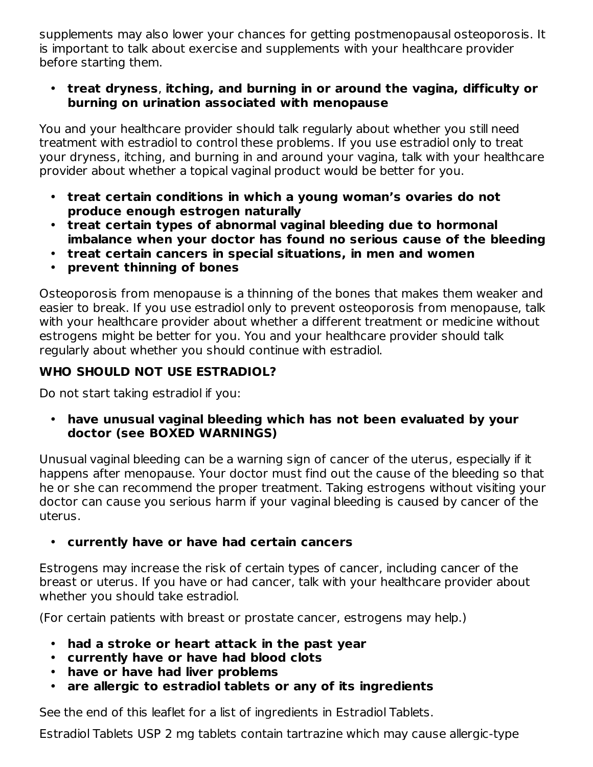supplements may also lower your chances for getting postmenopausal osteoporosis. It is important to talk about exercise and supplements with your healthcare provider before starting them.

#### • **treat dryness**, **itching, and burning in or around the vagina, difficulty or burning on urination associated with menopause**

You and your healthcare provider should talk regularly about whether you still need treatment with estradiol to control these problems. If you use estradiol only to treat your dryness, itching, and burning in and around your vagina, talk with your healthcare provider about whether a topical vaginal product would be better for you.

- **treat certain conditions in which a young woman's ovaries do not produce enough estrogen naturally**
- **treat certain types of abnormal vaginal bleeding due to hormonal imbalance when your doctor has found no serious cause of the bleeding**
- **treat certain cancers in special situations, in men and women**
- **prevent thinning of bones**

Osteoporosis from menopause is a thinning of the bones that makes them weaker and easier to break. If you use estradiol only to prevent osteoporosis from menopause, talk with your healthcare provider about whether a different treatment or medicine without estrogens might be better for you. You and your healthcare provider should talk regularly about whether you should continue with estradiol.

#### **WHO SHOULD NOT USE ESTRADIOL?**

Do not start taking estradiol if you:

• **have unusual vaginal bleeding which has not been evaluated by your doctor (see BOXED WARNINGS)**

Unusual vaginal bleeding can be a warning sign of cancer of the uterus, especially if it happens after menopause. Your doctor must find out the cause of the bleeding so that he or she can recommend the proper treatment. Taking estrogens without visiting your doctor can cause you serious harm if your vaginal bleeding is caused by cancer of the uterus.

#### • **currently have or have had certain cancers**

Estrogens may increase the risk of certain types of cancer, including cancer of the breast or uterus. If you have or had cancer, talk with your healthcare provider about whether you should take estradiol.

(For certain patients with breast or prostate cancer, estrogens may help.)

- **had a stroke or heart attack in the past year**
- **currently have or have had blood clots**
- **have or have had liver problems**
- **are allergic to estradiol tablets or any of its ingredients**

See the end of this leaflet for a list of ingredients in Estradiol Tablets.

Estradiol Tablets USP 2 mg tablets contain tartrazine which may cause allergic-type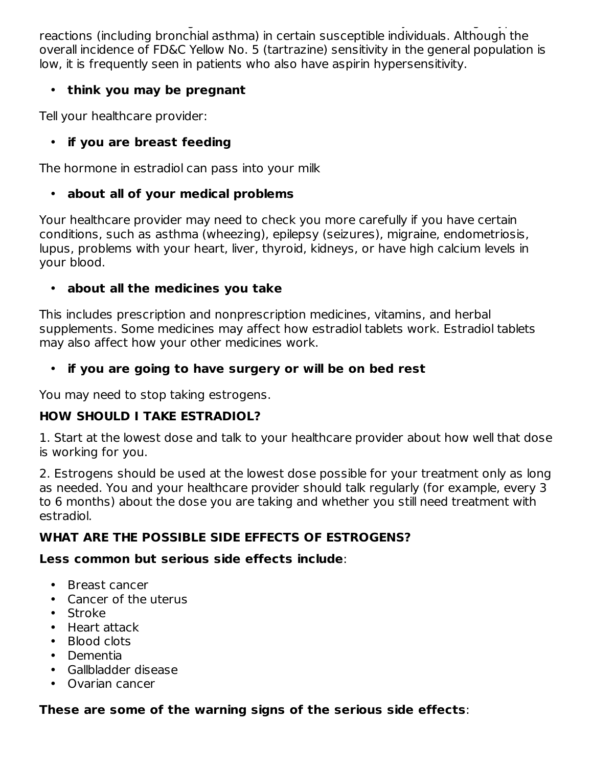Estradiol Tablets USP 2 mg tablets contain tartrazine which may cause allergic-type reactions (including bronchial asthma) in certain susceptible individuals. Although the overall incidence of FD&C Yellow No. 5 (tartrazine) sensitivity in the general population is low, it is frequently seen in patients who also have aspirin hypersensitivity.

#### • **think you may be pregnant**

Tell your healthcare provider:

#### • **if you are breast feeding**

The hormone in estradiol can pass into your milk

#### • **about all of your medical problems**

Your healthcare provider may need to check you more carefully if you have certain conditions, such as asthma (wheezing), epilepsy (seizures), migraine, endometriosis, lupus, problems with your heart, liver, thyroid, kidneys, or have high calcium levels in your blood.

#### • **about all the medicines you take**

This includes prescription and nonprescription medicines, vitamins, and herbal supplements. Some medicines may affect how estradiol tablets work. Estradiol tablets may also affect how your other medicines work.

#### • **if you are going to have surgery or will be on bed rest**

You may need to stop taking estrogens.

#### **HOW SHOULD I TAKE ESTRADIOL?**

1. Start at the lowest dose and talk to your healthcare provider about how well that dose is working for you.

2. Estrogens should be used at the lowest dose possible for your treatment only as long as needed. You and your healthcare provider should talk regularly (for example, every 3 to 6 months) about the dose you are taking and whether you still need treatment with estradiol.

## **WHAT ARE THE POSSIBLE SIDE EFFECTS OF ESTROGENS?**

#### **Less common but serious side effects include**:

- Breast cancer
- Cancer of the uterus
- Stroke
- Heart attack
- Blood clots
- Dementia
- Gallbladder disease
- Ovarian cancer

#### **These are some of the warning signs of the serious side effects**: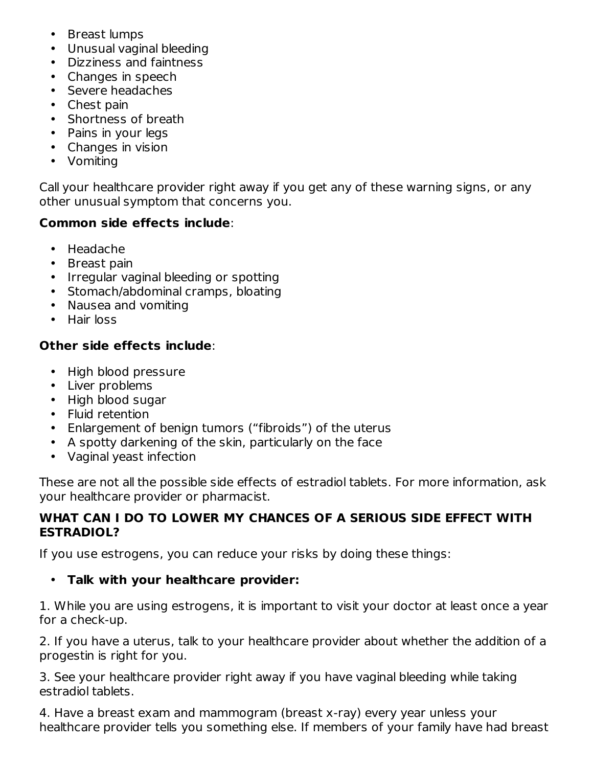- Breast lumps
- Unusual vaginal bleeding
- Dizziness and faintness
- Changes in speech
- Severe headaches
- Chest pain
- Shortness of breath
- Pains in your legs
- Changes in vision
- Vomiting

Call your healthcare provider right away if you get any of these warning signs, or any other unusual symptom that concerns you.

#### **Common side effects include**:

- Headache
- Breast pain
- Irregular vaginal bleeding or spotting
- Stomach/abdominal cramps, bloating
- Nausea and vomiting
- Hair loss

#### **Other side effects include**:

- High blood pressure
- Liver problems
- High blood sugar
- Fluid retention
- Enlargement of benign tumors ("fibroids") of the uterus
- A spotty darkening of the skin, particularly on the face
- Vaginal yeast infection

These are not all the possible side effects of estradiol tablets. For more information, ask your healthcare provider or pharmacist.

#### **WHAT CAN I DO TO LOWER MY CHANCES OF A SERIOUS SIDE EFFECT WITH ESTRADIOL?**

If you use estrogens, you can reduce your risks by doing these things:

#### • **Talk with your healthcare provider:**

1. While you are using estrogens, it is important to visit your doctor at least once a year for a check-up.

2. If you have a uterus, talk to your healthcare provider about whether the addition of a progestin is right for you.

3. See your healthcare provider right away if you have vaginal bleeding while taking estradiol tablets.

4. Have a breast exam and mammogram (breast x-ray) every year unless your healthcare provider tells you something else. If members of your family have had breast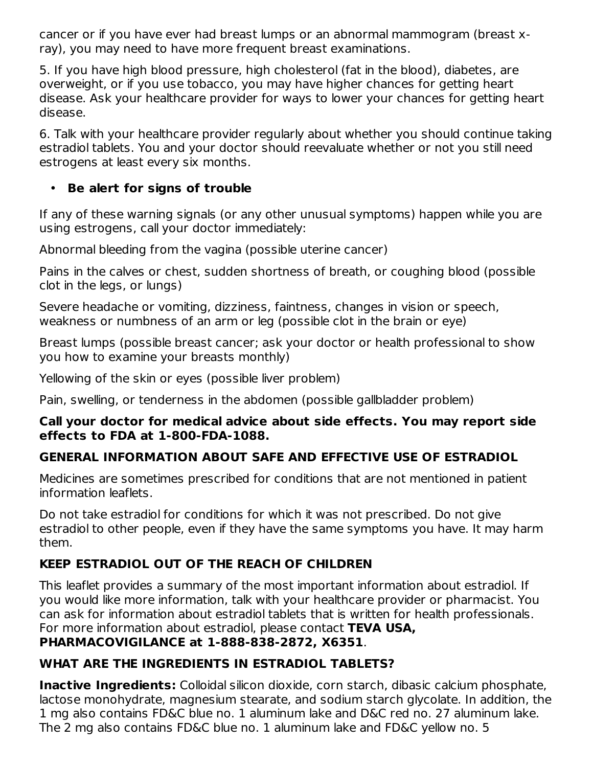cancer or if you have ever had breast lumps or an abnormal mammogram (breast xray), you may need to have more frequent breast examinations.

5. If you have high blood pressure, high cholesterol (fat in the blood), diabetes, are overweight, or if you use tobacco, you may have higher chances for getting heart disease. Ask your healthcare provider for ways to lower your chances for getting heart disease.

6. Talk with your healthcare provider regularly about whether you should continue taking estradiol tablets. You and your doctor should reevaluate whether or not you still need estrogens at least every six months.

#### • **Be alert for signs of trouble**

If any of these warning signals (or any other unusual symptoms) happen while you are using estrogens, call your doctor immediately:

Abnormal bleeding from the vagina (possible uterine cancer)

Pains in the calves or chest, sudden shortness of breath, or coughing blood (possible clot in the legs, or lungs)

Severe headache or vomiting, dizziness, faintness, changes in vision or speech, weakness or numbness of an arm or leg (possible clot in the brain or eye)

Breast lumps (possible breast cancer; ask your doctor or health professional to show you how to examine your breasts monthly)

Yellowing of the skin or eyes (possible liver problem)

Pain, swelling, or tenderness in the abdomen (possible gallbladder problem)

#### **Call your doctor for medical advice about side effects. You may report side effects to FDA at 1-800-FDA-1088.**

## **GENERAL INFORMATION ABOUT SAFE AND EFFECTIVE USE OF ESTRADIOL**

Medicines are sometimes prescribed for conditions that are not mentioned in patient information leaflets.

Do not take estradiol for conditions for which it was not prescribed. Do not give estradiol to other people, even if they have the same symptoms you have. It may harm them.

## **KEEP ESTRADIOL OUT OF THE REACH OF CHILDREN**

This leaflet provides a summary of the most important information about estradiol. If you would like more information, talk with your healthcare provider or pharmacist. You can ask for information about estradiol tablets that is written for health professionals. For more information about estradiol, please contact **TEVA USA, PHARMACOVIGILANCE at 1-888-838-2872, X6351**.

## **WHAT ARE THE INGREDIENTS IN ESTRADIOL TABLETS?**

**Inactive Ingredients:** Colloidal silicon dioxide, corn starch, dibasic calcium phosphate, lactose monohydrate, magnesium stearate, and sodium starch glycolate. In addition, the 1 mg also contains FD&C blue no. 1 aluminum lake and D&C red no. 27 aluminum lake. The 2 mg also contains FD&C blue no. 1 aluminum lake and FD&C yellow no. 5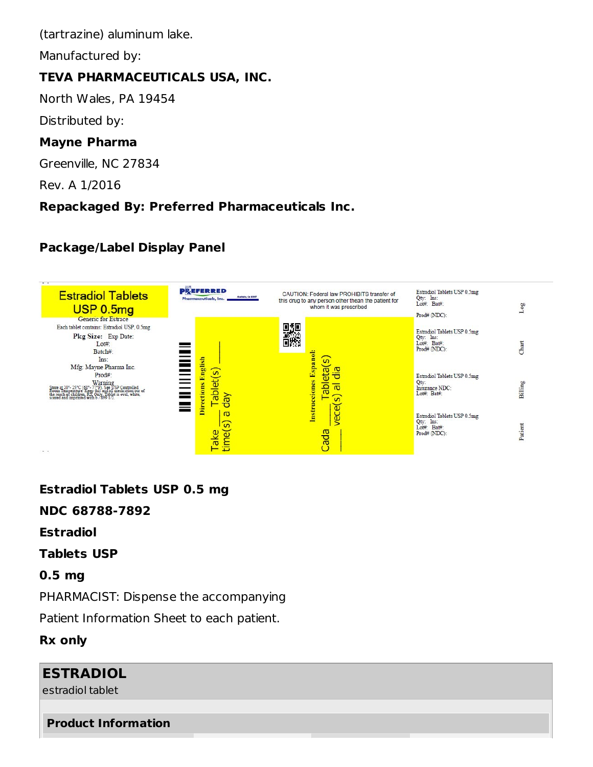(tartrazine) aluminum lake.

Manufactured by:

#### **TEVA PHARMACEUTICALS USA, INC.**

North Wales, PA 19454

Distributed by:

#### **Mayne Pharma**

Greenville, NC 27834

Rev. A 1/2016

## **Repackaged By: Preferred Pharmaceuticals Inc.**

# **Package/Label Display Panel**



## **Estradiol Tablets USP 0.5 mg**

**NDC 68788-7892**

**Estradiol**

#### **Tablets USP**

#### **0.5 mg**

PHARMACIST: Dispense the accompanying

Patient Information Sheet to each patient.

#### **Rx only**

# **ESTRADIOL** estradiol tablet **Product Information**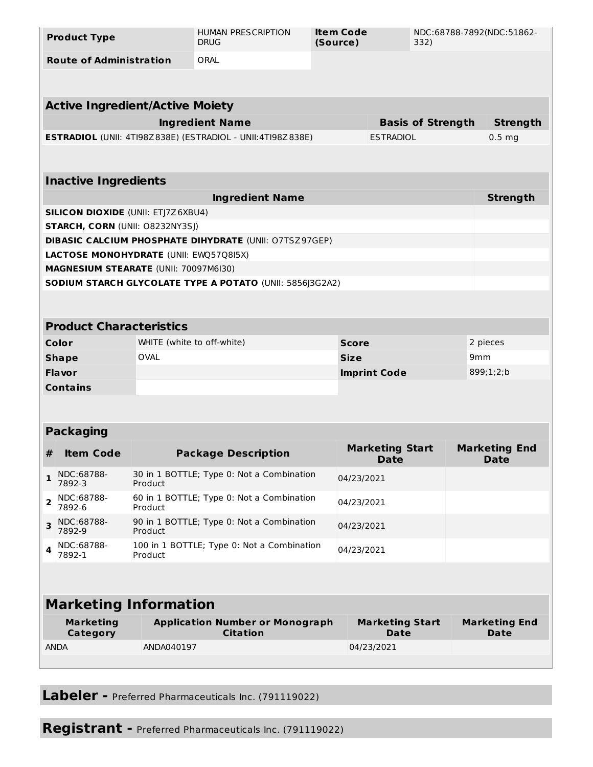| <b>Product Type</b>                       |                            | <b>HUMAN PRESCRIPTION</b><br><b>DRUG</b>                      | <b>Item Code</b><br>(Source) |                                       | 332)                     | NDC:68788-7892(NDC:51862-           |
|-------------------------------------------|----------------------------|---------------------------------------------------------------|------------------------------|---------------------------------------|--------------------------|-------------------------------------|
| <b>Route of Administration</b>            |                            | ORAL                                                          |                              |                                       |                          |                                     |
|                                           |                            |                                                               |                              |                                       |                          |                                     |
| <b>Active Ingredient/Active Moiety</b>    |                            |                                                               |                              |                                       |                          |                                     |
|                                           |                            | <b>Ingredient Name</b>                                        |                              |                                       | <b>Basis of Strength</b> | <b>Strength</b>                     |
|                                           |                            | ESTRADIOL (UNII: 4TI98Z838E) (ESTRADIOL - UNII:4TI98Z838E)    |                              | <b>ESTRADIOL</b>                      |                          | $0.5$ mg                            |
|                                           |                            |                                                               |                              |                                       |                          |                                     |
| <b>Inactive Ingredients</b>               |                            |                                                               |                              |                                       |                          |                                     |
|                                           |                            | <b>Ingredient Name</b>                                        |                              |                                       |                          | <b>Strength</b>                     |
| <b>SILICON DIOXIDE (UNII: ETJ7Z6XBU4)</b> |                            |                                                               |                              |                                       |                          |                                     |
| <b>STARCH, CORN (UNII: O8232NY3SJ)</b>    |                            |                                                               |                              |                                       |                          |                                     |
|                                           |                            | <b>DIBASIC CALCIUM PHOSPHATE DIHYDRATE (UNII: O7TSZ97GEP)</b> |                              |                                       |                          |                                     |
| LACTOSE MONOHYDRATE (UNII: EWQ57Q8I5X)    |                            |                                                               |                              |                                       |                          |                                     |
| MAGNESIUM STEARATE (UNII: 70097M6I30)     |                            |                                                               |                              |                                       |                          |                                     |
|                                           |                            | SODIUM STARCH GLYCOLATE TYPE A POTATO (UNII: 5856J3G2A2)      |                              |                                       |                          |                                     |
|                                           |                            |                                                               |                              |                                       |                          |                                     |
| <b>Product Characteristics</b>            |                            |                                                               |                              |                                       |                          |                                     |
| <b>Color</b>                              | WHITE (white to off-white) |                                                               | <b>Score</b>                 |                                       |                          | 2 pieces                            |
| <b>Shape</b>                              | <b>OVAL</b>                |                                                               | <b>Size</b>                  |                                       |                          | 9 <sub>mm</sub>                     |
| Flavor                                    |                            |                                                               |                              | <b>Imprint Code</b>                   |                          | 899;1;2;b                           |
| <b>Contains</b>                           |                            |                                                               |                              |                                       |                          |                                     |
|                                           |                            |                                                               |                              |                                       |                          |                                     |
| <b>Packaging</b>                          |                            |                                                               |                              |                                       |                          |                                     |
| #<br><b>Item Code</b>                     |                            | <b>Package Description</b>                                    |                              | <b>Marketing Start</b><br><b>Date</b> |                          | <b>Marketing End</b><br><b>Date</b> |
| NDC:68788-<br>$\mathbf{1}$<br>7892-3      | Product                    | 30 in 1 BOTTLE; Type 0: Not a Combination                     |                              | 04/23/2021                            |                          |                                     |
| NDC:68788-<br>$\overline{2}$<br>7892-6    | Product                    | 60 in 1 BOTTLE; Type 0: Not a Combination                     |                              | 04/23/2021                            |                          |                                     |
| NDC:68788-<br>3<br>7892-9                 | Product                    | 90 in 1 BOTTLE; Type 0: Not a Combination                     |                              | 04/23/2021                            |                          |                                     |
| NDC:68788-<br>7892-1                      | Product                    | 100 in 1 BOTTLE; Type 0: Not a Combination                    |                              | 04/23/2021                            |                          |                                     |
|                                           |                            |                                                               |                              |                                       |                          |                                     |
| <b>Marketing Information</b>              |                            |                                                               |                              |                                       |                          |                                     |
|                                           |                            |                                                               |                              |                                       |                          |                                     |
| <b>Marketing</b><br>Category              |                            | <b>Application Number or Monograph</b><br><b>Citation</b>     |                              | <b>Marketing Start</b><br>Date        |                          | <b>Marketing End</b><br><b>Date</b> |
| <b>ANDA</b>                               | ANDA040197                 |                                                               |                              | 04/23/2021                            |                          |                                     |
|                                           |                            |                                                               |                              |                                       |                          |                                     |

**Labeler -** Preferred Pharmaceuticals Inc. (791119022)

**Registrant -** Preferred Pharmaceuticals Inc. (791119022)